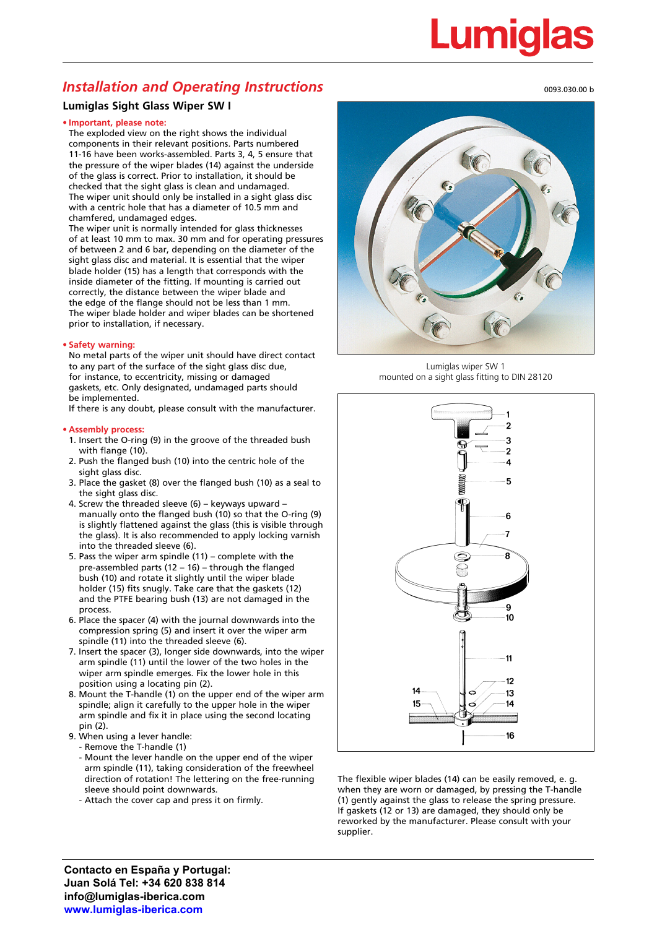# Lumia

### *Installation and Operating Instructions*

#### **Lumiglas Sight Glass Wiper SW I**

#### **• Important, please note:**

The exploded view on the right shows the individual components in their relevant positions. Parts numbered 11-16 have been works-assembled. Parts 3, 4, 5 ensure that the pressure of the wiper blades (14) against the underside of the glass is correct. Prior to installation, it should be checked that the sight glass is clean and undamaged. The wiper unit should only be installed in a sight glass disc with a centric hole that has a diameter of 10.5 mm and chamfered, undamaged edges.

The wiper unit is normally intended for glass thicknesses of at least 10 mm to max. 30 mm and for operating pressures of between 2 and 6 bar, depending on the diameter of the sight glass disc and material. It is essential that the wiper blade holder (15) has a length that corresponds with the inside diameter of the fitting. If mounting is carried out correctly, the distance between the wiper blade and the edge of the flange should not be less than 1 mm. The wiper blade holder and wiper blades can be shortened prior to installation, if necessary.

#### **• Safety warning:**

No metal parts of the wiper unit should have direct contact to any part of the surface of the sight glass disc due, for instance, to eccentricity, missing or damaged gaskets, etc. Only designated, undamaged parts should be implemented.

If there is any doubt, please consult with the manufacturer.

#### **• Assembly process:**

- 1. Insert the O-ring (9) in the groove of the threaded bush with flange (10).
- 2. Push the flanged bush (10) into the centric hole of the sight glass disc.
- 3. Place the gasket (8) over the flanged bush (10) as a seal to the sight glass disc.
- 4. Screw the threaded sleeve (6) keyways upward manually onto the flanged bush (10) so that the O-ring (9) is slightly flattened against the glass (this is visible through the glass). It is also recommended to apply locking varnish into the threaded sleeve (6).
- 5. Pass the wiper arm spindle (11) complete with the pre-assembled parts (12 – 16) – through the flanged bush (10) and rotate it slightly until the wiper blade holder (15) fits snugly. Take care that the gaskets (12) and the PTFE bearing bush (13) are not damaged in the process.
- 6. Place the spacer (4) with the journal downwards into the compression spring (5) and insert it over the wiper arm spindle (11) into the threaded sleeve (6).
- 7. Insert the spacer (3), longer side downwards, into the wiper arm spindle (11) until the lower of the two holes in the wiper arm spindle emerges. Fix the lower hole in this position using a locating pin (2).
- 8. Mount the T-handle (1) on the upper end of the wiper arm spindle; align it carefully to the upper hole in the wiper arm spindle and fix it in place using the second locating pin (2).
- 9. When using a lever handle:
	- Remove the T-handle (1) - Mount the lever handle on the upper end of the wiper arm spindle (11), taking consideration of the freewheel direction of rotation! The lettering on the free-running sleeve should point downwards.
	- Attach the cover cap and press it on firmly.



Lumiglas wiper SW 1 mounted on a sight glass fitting to DIN 28120



The flexible wiper blades (14) can be easily removed, e. g. when they are worn or damaged, by pressing the T-handle (1) gently against the glass to release the spring pressure. If gaskets (12 or 13) are damaged, they should only be reworked by the manufacturer. Please consult with your supplier.

**Contacto en España y Portugal: Juan Solá Tel: +34 620 838 814 info@lumiglas-iberica.com www.lumiglas-iberica.com**

#### 0093.030.00 b